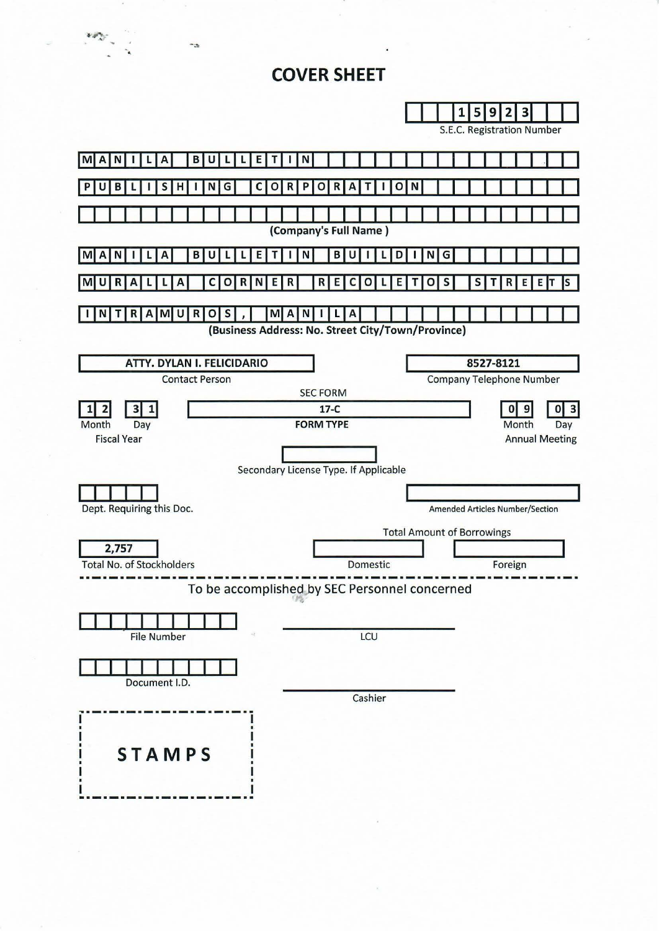# **COVER SHEET**



--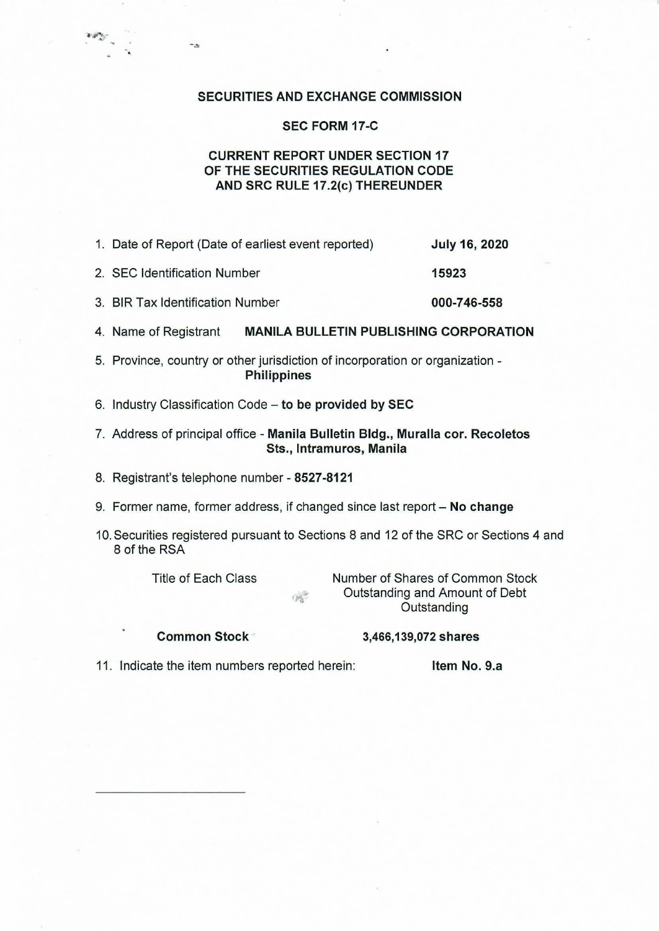#### SECURITIES AND EXCHANGE COMMISSION

### SEC FORM 17-C

## CURRENT REPORT UNDER SECTION 17 OF THE SECURITIES REGULATION CODE AND SRC RULE 17.2(c) THEREUNDER

- 1. Date of Report (Date of earliest event reported) July 16, 2020 2. SEC Identification Number 15923
- 3. BIR Tax Identification Number 000-746-558
- 4. Name of Registrant MANILA BULLETIN PUBLISHING CORPORATION
- 5. Province, country or other jurisdiction of incorporation or organization Philippines
- 6. Industry Classification Code to be provided by SEC
- 7. Address of principal office Manila Bulletin Bldg., Muralla cor. Recoletos Sts., lntramuros, Manila
- 8. Registrant's telephone number 8527-8121
- 9. Former name, former address, if changed since last report No change

 $\langle p_{\alpha} \rangle$ 

10. Securities registered pursuant to Sections 8 and 12 of the SRC or Sections 4 and 8 of the RSA

. ... -.

 $\ddotsc$ 

Title of Each Class Number of Shares of Common Stock Outstanding and Amount of Debt **Outstanding** 

Common Stock 3,466, 139, 072 shares

11. Indicate the item numbers reported herein: Item No. 9.a